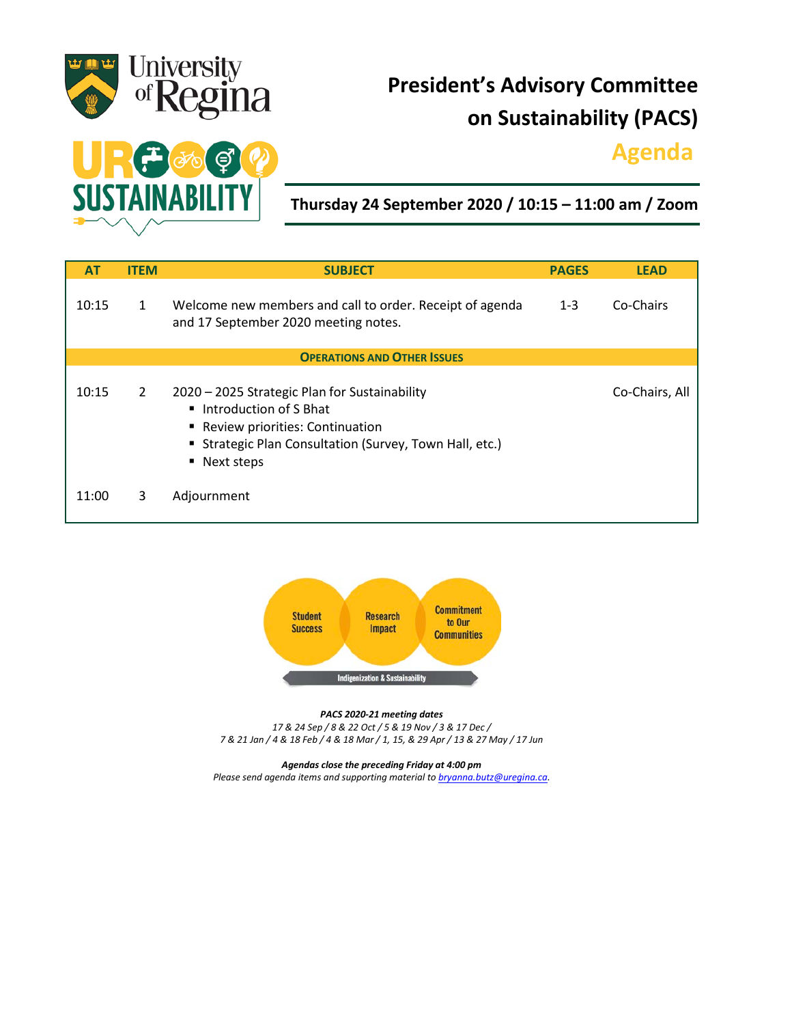

# **President's Advisory Committee on Sustainability (PACS)**

## **Agenda.**



**Thursday 24 September 2020 / 10:15 – 11:00 am / Zoom**

| <b>AT</b>                          | <b>ITEM</b>  | <b>SUBJECT</b>                                                                                                                                                                                 | <b>PAGES</b> | <b>LEAD</b>    |
|------------------------------------|--------------|------------------------------------------------------------------------------------------------------------------------------------------------------------------------------------------------|--------------|----------------|
| 10:15                              | $\mathbf{1}$ | Welcome new members and call to order. Receipt of agenda<br>and 17 September 2020 meeting notes.                                                                                               | $1 - 3$      | Co-Chairs      |
| <b>OPERATIONS AND OTHER ISSUES</b> |              |                                                                                                                                                                                                |              |                |
| 10:15                              | 2            | 2020 - 2025 Strategic Plan for Sustainability<br>■ Introduction of S Bhat<br>■ Review priorities: Continuation<br><b>E</b> Strategic Plan Consultation (Survey, Town Hall, etc.)<br>Next steps |              | Co-Chairs, All |
| 11:00                              | 3            | Adjournment                                                                                                                                                                                    |              |                |



*PACS 2020-21 meeting dates 17 & 24 Sep / 8 & 22 Oct / 5 & 19 Nov / 3 & 17 Dec / 7 & 21 Jan / 4 & 18 Feb / 4 & 18 Mar / 1, 15, & 29 Apr / 13 & 27 May / 17 Jun*

*Agendas close the preceding Friday at 4:00 pm Please send agenda items and supporting material to [bryanna.butz@uregina.ca.](mailto:bryanna.butz@uregina.ca)*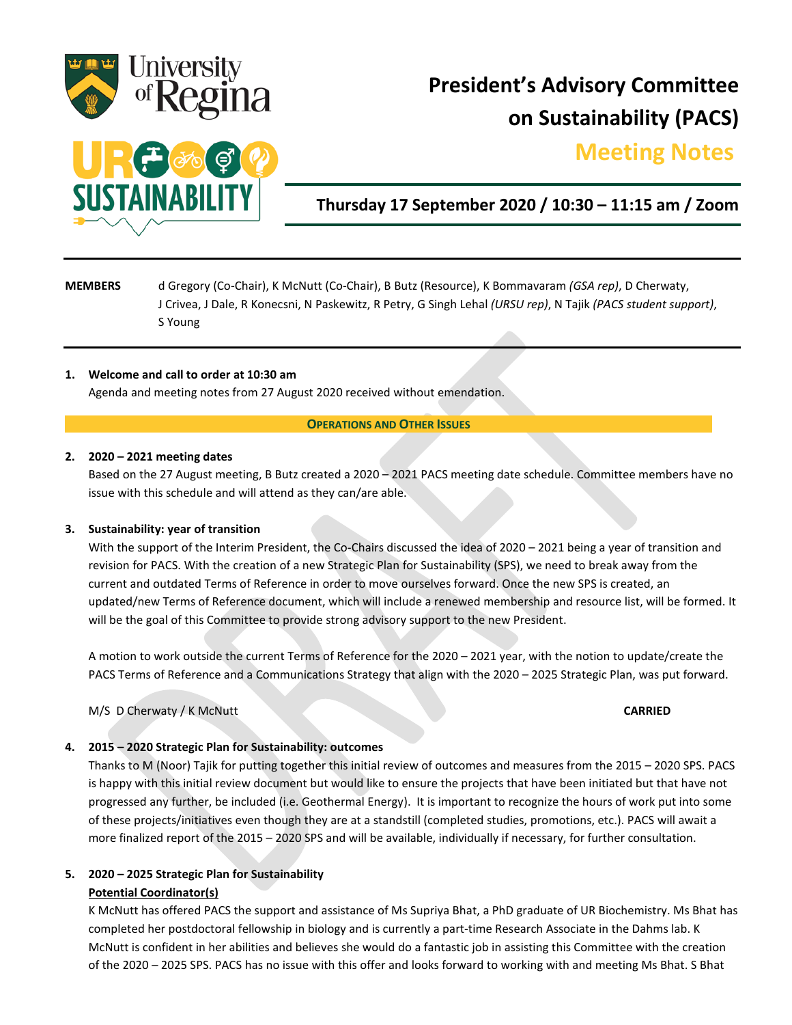

# **President's Advisory Committee on Sustainability (PACS)**

## **Meeting Notes.**



### **Thursday 17 September 2020 / 10:30 – 11:15 am / Zoom**

### **MEMBERS** d Gregory (Co-Chair), K McNutt (Co-Chair), B Butz (Resource), K Bommavaram *(GSA rep)*, D Cherwaty, J Crivea, J Dale, R Konecsni, N Paskewitz, R Petry, G Singh Lehal *(URSU rep)*, N Tajik *(PACS student support)*, S Young

#### **1. Welcome and call to order at 10:30 am**

Agenda and meeting notes from 27 August 2020 received without emendation.

#### **OPERATIONS AND OTHER ISSUES**

#### **2. 2020 – 2021 meeting dates**

Based on the 27 August meeting, B Butz created a 2020 – 2021 PACS meeting date schedule. Committee members have no issue with this schedule and will attend as they can/are able.

#### **3. Sustainability: year of transition**

With the support of the Interim President, the Co-Chairs discussed the idea of 2020 – 2021 being a year of transition and revision for PACS. With the creation of a new Strategic Plan for Sustainability (SPS), we need to break away from the current and outdated Terms of Reference in order to move ourselves forward. Once the new SPS is created, an updated/new Terms of Reference document, which will include a renewed membership and resource list, will be formed. It will be the goal of this Committee to provide strong advisory support to the new President.

A motion to work outside the current Terms of Reference for the 2020 – 2021 year, with the notion to update/create the PACS Terms of Reference and a Communications Strategy that align with the 2020 – 2025 Strategic Plan, was put forward.

M/S D Cherwaty / K McNutt **CARRIED**

#### **4. 2015 – 2020 Strategic Plan for Sustainability: outcomes**

Thanks to M (Noor) Tajik for putting together this initial review of outcomes and measures from the 2015 – 2020 SPS. PACS is happy with this initial review document but would like to ensure the projects that have been initiated but that have not progressed any further, be included (i.e. Geothermal Energy). It is important to recognize the hours of work put into some of these projects/initiatives even though they are at a standstill (completed studies, promotions, etc.). PACS will await a more finalized report of the 2015 – 2020 SPS and will be available, individually if necessary, for further consultation.

#### **5. 2020 – 2025 Strategic Plan for Sustainability**

#### **Potential Coordinator(s)**

K McNutt has offered PACS the support and assistance of Ms Supriya Bhat, a PhD graduate of UR Biochemistry. Ms Bhat has completed her postdoctoral fellowship in biology and is currently a part-time Research Associate in the Dahms lab. K McNutt is confident in her abilities and believes she would do a fantastic job in assisting this Committee with the creation of the 2020 – 2025 SPS. PACS has no issue with this offer and looks forward to working with and meeting Ms Bhat. S Bhat